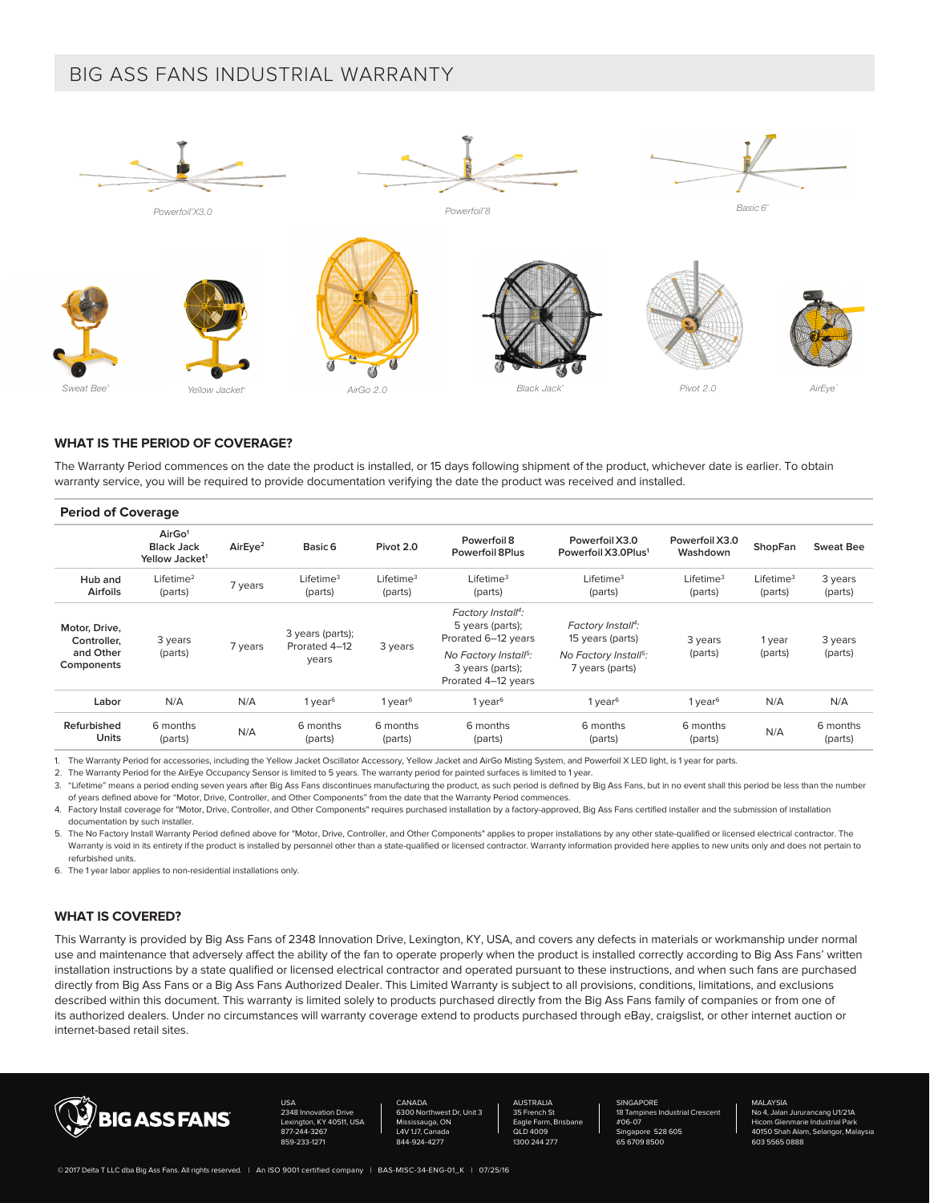# BIG ASS FANS INDUSTRIAL WARRANTY



## **WHAT IS THE PERIOD OF COVERAGE?**

The Warranty Period commences on the date the product is installed, or 15 days following shipment of the product, whichever date is earlier. To obtain warranty service, you will be required to provide documentation verifying the date the product was received and installed.

| <b>Period of Coverage</b>                               |                                                                       |                     |                                            |                                  |                                                                              |                                                      |                                  |                                  |                     |
|---------------------------------------------------------|-----------------------------------------------------------------------|---------------------|--------------------------------------------|----------------------------------|------------------------------------------------------------------------------|------------------------------------------------------|----------------------------------|----------------------------------|---------------------|
|                                                         | AirGo <sup>1</sup><br><b>Black Jack</b><br>Yellow Jacket <sup>1</sup> | AirEye <sup>2</sup> | Basic 6                                    | Pivot 2.0                        | Powerfoil 8<br>Powerfoil 8Plus                                               | Powerfoil X3.0<br>Powerfoil X3.0Plus <sup>1</sup>    | Powerfoil X3.0<br>Washdown       | ShopFan                          | <b>Sweat Bee</b>    |
| Hub and<br>Airfoils                                     | Lifetime <sup>2</sup><br>(parts)                                      | 7 years             | Lifetime <sup>3</sup><br>(parts)           | Lifetime <sup>3</sup><br>(parts) | Lifetime <sup>3</sup><br>(parts)                                             | Lifetime <sup>3</sup><br>(parts)                     | Lifetime <sup>3</sup><br>(parts) | Lifetime <sup>3</sup><br>(parts) | 3 years<br>(parts)  |
| Motor, Drive,<br>Controller.<br>and Other<br>Components | 3 years<br>(parts)                                                    | 7 years             | 3 years (parts);<br>Prorated 4-12<br>years | 3 years                          | Factory Install <sup>4</sup> :<br>5 years (parts);<br>Prorated 6-12 years    | Factory Install <sup>4</sup> :<br>15 years (parts)   | 3 years<br>(parts)               | 1 year<br>(parts)                | 3 years<br>(parts)  |
|                                                         |                                                                       |                     |                                            |                                  | No Factory Install <sup>5</sup> :<br>3 years (parts);<br>Prorated 4-12 years | No Factory Install <sup>5</sup> :<br>7 years (parts) |                                  |                                  |                     |
| Labor                                                   | N/A                                                                   | N/A                 | 1 year <sup>6</sup>                        | 1 year <sup>6</sup>              | 1 year <sup>6</sup>                                                          | 1 year <sup>6</sup>                                  | 1 year <sup>6</sup>              | N/A                              | N/A                 |
| Refurbished<br>Units                                    | 6 months<br>(parts)                                                   | N/A                 | 6 months<br>(parts)                        | 6 months<br>(parts)              | 6 months<br>(parts)                                                          | 6 months<br>(parts)                                  | 6 months<br>(parts)              | N/A                              | 6 months<br>(parts) |

1. The Warranty Period for accessories, including the Yellow Jacket Oscillator Accessory, Yellow Jacket and AirGo Misting System, and Powerfoil X LED light, is 1 year for parts.

2. The Warranty Period for the AirEye Occupancy Sensor is limited to 5 years. The warranty period for painted surfaces is limited to 1 year.

3. "Lifetime" means a period ending seven years after Big Ass Fans discontinues manufacturing the product, as such period is defined by Big Ass Fans, but in no event shall this period be less than the number of years defined above for "Motor, Drive, Controller, and Other Components" from the date that the Warranty Period commences.

4. Factory Install coverage for "Motor, Drive, Controller, and Other Components" requires purchased installation by a factory-approved, Big Ass Fans certified installer and the submission of installation documentation by such installer.

5. The No Factory Install Warranty Period defined above for "Motor, Drive, Controller, and Other Components" applies to proper installations by any other state-qualified or licensed electrical contractor. The Warranty is void in its entirety if the product is installed by personnel other than a state-qualified or licensed contractor. Warranty information provided here applies to new units only and does not pertain to refurbished units.

6. The 1 year labor applies to non-residential installations only.

## **WHAT IS COVERED?**

This Warranty is provided by Big Ass Fans of 2348 Innovation Drive, Lexington, KY, USA, and covers any defects in materials or workmanship under normal use and maintenance that adversely affect the ability of the fan to operate properly when the product is installed correctly according to Big Ass Fans' written installation instructions by a state qualified or licensed electrical contractor and operated pursuant to these instructions, and when such fans are purchased directly from Big Ass Fans or a Big Ass Fans Authorized Dealer. This Limited Warranty is subject to all provisions, conditions, limitations, and exclusions described within this document. This warranty is limited solely to products purchased directly from the Big Ass Fans family of companies or from one of its authorized dealers. Under no circumstances will warranty coverage extend to products purchased through eBay, craigslist, or other internet auction or internet-based retail sites.



USA ation Drive Lexington, KY 40511, USA 877-244-3267 859-233-1271

CANADA est Dr. Unit 3  $\cap$ L4V 1J7, Ca 844-924-4277

AUSTRALIA 35 French St Eagle Farm, Brisbane QLD 4009 1300 244 277

SINGAPORE 18 Tampines Industrial Crescent #06-07 e 528 605 65 6709 8500

MALAYSIA

No 4, Jalan Jururancang U1/21A Hicom Glenmarie Industrial Park 150 Shah Alam, Selangor, Malaysia 603 5565 0888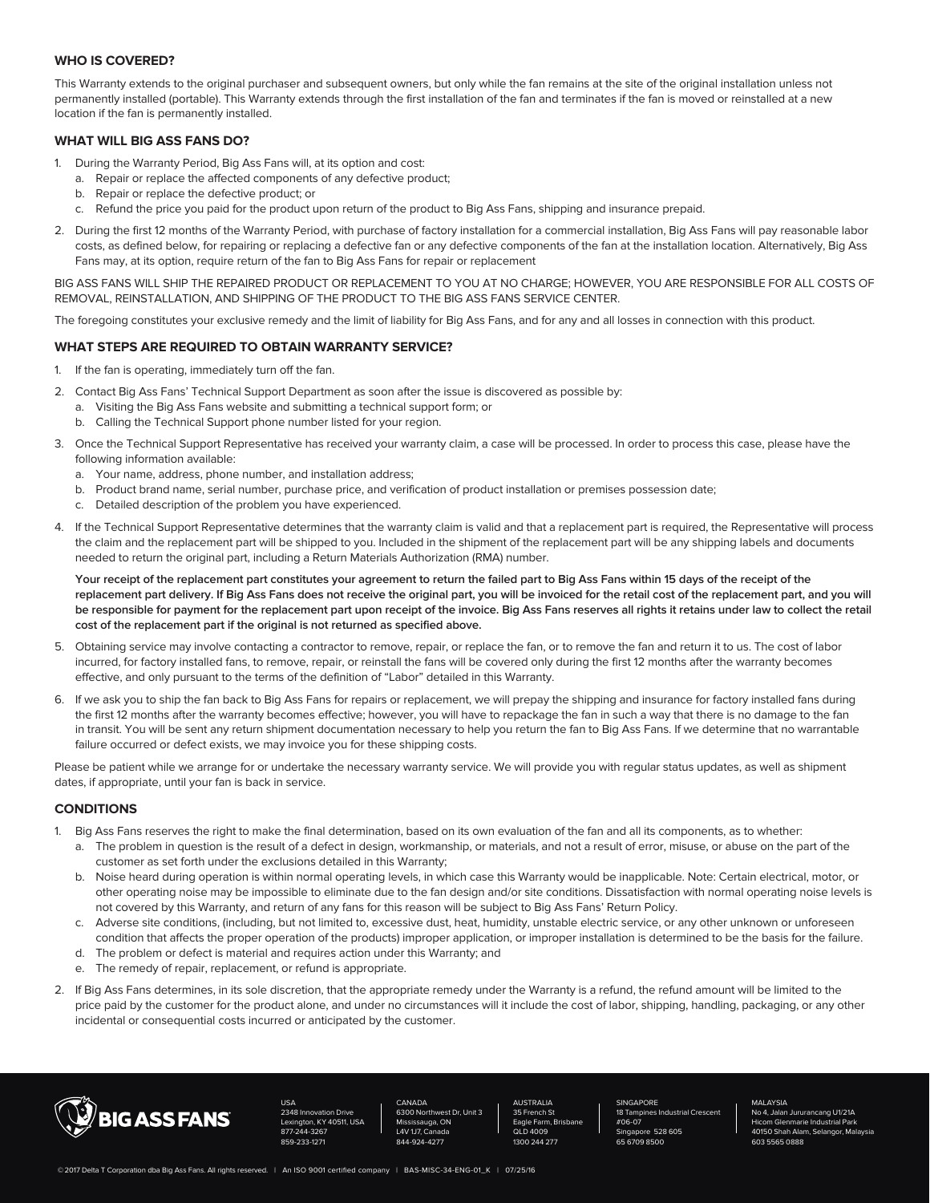## **WHO IS COVERED?**

This Warranty extends to the original purchaser and subsequent owners, but only while the fan remains at the site of the original installation unless not permanently installed (portable). This Warranty extends through the first installation of the fan and terminates if the fan is moved or reinstalled at a new location if the fan is permanently installed.

## **WHAT WILL BIG ASS FANS DO?**

- 1. During the Warranty Period, Big Ass Fans will, at its option and cost:
	- a. Repair or replace the affected components of any defective product;
	- b. Repair or replace the defective product; or
	- c. Refund the price you paid for the product upon return of the product to Big Ass Fans, shipping and insurance prepaid.
- 2. During the first 12 months of the Warranty Period, with purchase of factory installation for a commercial installation, Big Ass Fans will pay reasonable labor costs, as defined below, for repairing or replacing a defective fan or any defective components of the fan at the installation location. Alternatively, Big Ass Fans may, at its option, require return of the fan to Big Ass Fans for repair or replacement

BIG ASS FANS WILL SHIP THE REPAIRED PRODUCT OR REPLACEMENT TO YOU AT NO CHARGE; HOWEVER, YOU ARE RESPONSIBLE FOR ALL COSTS OF REMOVAL, REINSTALLATION, AND SHIPPING OF THE PRODUCT TO THE BIG ASS FANS SERVICE CENTER.

The foregoing constitutes your exclusive remedy and the limit of liability for Big Ass Fans, and for any and all losses in connection with this product.

#### **WHAT STEPS ARE REQUIRED TO OBTAIN WARRANTY SERVICE?**

- 1. If the fan is operating, immediately turn off the fan.
- 2. Contact Big Ass Fans' Technical Support Department as soon after the issue is discovered as possible by:
	- a. Visiting the Big Ass Fans website and submitting a technical support form; or
	- b. Calling the Technical Support phone number listed for your region.
- 3. Once the Technical Support Representative has received your warranty claim, a case will be processed. In order to process this case, please have the following information available:
	- a. Your name, address, phone number, and installation address;
	- b. Product brand name, serial number, purchase price, and verification of product installation or premises possession date;
	- c. Detailed description of the problem you have experienced.
- 4. If the Technical Support Representative determines that the warranty claim is valid and that a replacement part is required, the Representative will process the claim and the replacement part will be shipped to you. Included in the shipment of the replacement part will be any shipping labels and documents needed to return the original part, including a Return Materials Authorization (RMA) number.

**Your receipt of the replacement part constitutes your agreement to return the failed part to Big Ass Fans within 15 days of the receipt of the**  replacement part delivery. If Big Ass Fans does not receive the original part, you will be invoiced for the retail cost of the replacement part, and you will be responsible for payment for the replacement part upon receipt of the invoice. Big Ass Fans reserves all rights it retains under law to collect the retail **cost of the replacement part if the original is not returned as specified above.**

- 5. Obtaining service may involve contacting a contractor to remove, repair, or replace the fan, or to remove the fan and return it to us. The cost of labor incurred, for factory installed fans, to remove, repair, or reinstall the fans will be covered only during the first 12 months after the warranty becomes effective, and only pursuant to the terms of the definition of "Labor" detailed in this Warranty.
- 6. If we ask you to ship the fan back to Big Ass Fans for repairs or replacement, we will prepay the shipping and insurance for factory installed fans during the first 12 months after the warranty becomes effective; however, you will have to repackage the fan in such a way that there is no damage to the fan in transit. You will be sent any return shipment documentation necessary to help you return the fan to Big Ass Fans. If we determine that no warrantable failure occurred or defect exists, we may invoice you for these shipping costs.

Please be patient while we arrange for or undertake the necessary warranty service. We will provide you with regular status updates, as well as shipment dates, if appropriate, until your fan is back in service.

### **CONDITIONS**

- 1. Big Ass Fans reserves the right to make the final determination, based on its own evaluation of the fan and all its components, as to whether:
	- a. The problem in question is the result of a defect in design, workmanship, or materials, and not a result of error, misuse, or abuse on the part of the customer as set forth under the exclusions detailed in this Warranty;
	- b. Noise heard during operation is within normal operating levels, in which case this Warranty would be inapplicable. Note: Certain electrical, motor, or other operating noise may be impossible to eliminate due to the fan design and/or site conditions. Dissatisfaction with normal operating noise levels is not covered by this Warranty, and return of any fans for this reason will be subject to Big Ass Fans' Return Policy.
	- c. Adverse site conditions, (including, but not limited to, excessive dust, heat, humidity, unstable electric service, or any other unknown or unforeseen condition that affects the proper operation of the products) improper application, or improper installation is determined to be the basis for the failure.
	- d. The problem or defect is material and requires action under this Warranty; and
	- e. The remedy of repair, replacement, or refund is appropriate.
- 2. If Big Ass Fans determines, in its sole discretion, that the appropriate remedy under the Warranty is a refund, the refund amount will be limited to the price paid by the customer for the product alone, and under no circumstances will it include the cost of labor, shipping, handling, packaging, or any other incidental or consequential costs incurred or anticipated by the customer.



USA ation Drive  $A$   $\Omega$   $\Gamma$  44  $\Gamma$  1. USA 1-3267 859-233-1271

CANADA et Dr, Unit 3 Mississauga, ON L4V 1J7, Canada 844-924-4277

AUSTRALIA 35 French St Eagle Farm, Brisbane QLD 4009 1300 244 277

**SINGAPORE** ial Crescent #06-07 528 605 65 6709 8500

MALAYSIA

No 4, Jalan Jururancang U1/21A Hicom Glenmarie Industrial Park 50 Shah Alam, Selangor, Malaysia 603 5565 0888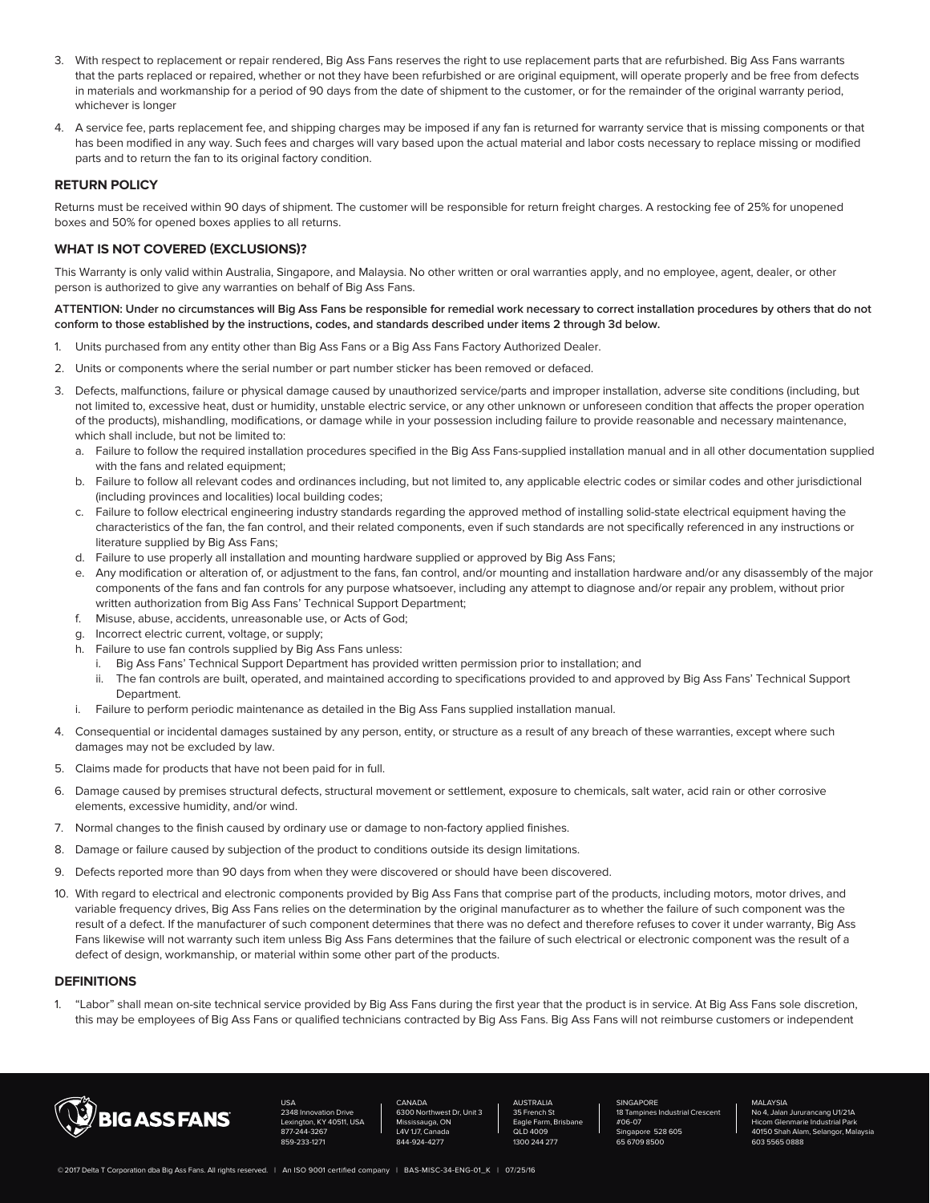- 3. With respect to replacement or repair rendered, Big Ass Fans reserves the right to use replacement parts that are refurbished. Big Ass Fans warrants that the parts replaced or repaired, whether or not they have been refurbished or are original equipment, will operate properly and be free from defects in materials and workmanship for a period of 90 days from the date of shipment to the customer, or for the remainder of the original warranty period, whichever is longer
- 4. A service fee, parts replacement fee, and shipping charges may be imposed if any fan is returned for warranty service that is missing components or that has been modified in any way. Such fees and charges will vary based upon the actual material and labor costs necessary to replace missing or modified parts and to return the fan to its original factory condition.

#### **RETURN POLICY**

Returns must be received within 90 days of shipment. The customer will be responsible for return freight charges. A restocking fee of 25% for unopened boxes and 50% for opened boxes applies to all returns.

### **WHAT IS NOT COVERED (EXCLUSIONS)?**

This Warranty is only valid within Australia, Singapore, and Malaysia. No other written or oral warranties apply, and no employee, agent, dealer, or other person is authorized to give any warranties on behalf of Big Ass Fans.

#### **ATTENTION: Under no circumstances will Big Ass Fans be responsible for remedial work necessary to correct installation procedures by others that do not conform to those established by the instructions, codes, and standards described under items 2 through 3d below.**

- 1. Units purchased from any entity other than Big Ass Fans or a Big Ass Fans Factory Authorized Dealer.
- 2. Units or components where the serial number or part number sticker has been removed or defaced.
- 3. Defects, malfunctions, failure or physical damage caused by unauthorized service/parts and improper installation, adverse site conditions (including, but not limited to, excessive heat, dust or humidity, unstable electric service, or any other unknown or unforeseen condition that affects the proper operation of the products), mishandling, modifications, or damage while in your possession including failure to provide reasonable and necessary maintenance, which shall include, but not be limited to:
	- a. Failure to follow the required installation procedures specified in the Big Ass Fans-supplied installation manual and in all other documentation supplied with the fans and related equipment:
	- b. Failure to follow all relevant codes and ordinances including, but not limited to, any applicable electric codes or similar codes and other jurisdictional (including provinces and localities) local building codes;
	- c. Failure to follow electrical engineering industry standards regarding the approved method of installing solid-state electrical equipment having the characteristics of the fan, the fan control, and their related components, even if such standards are not specifically referenced in any instructions or literature supplied by Big Ass Fans;
	- d. Failure to use properly all installation and mounting hardware supplied or approved by Big Ass Fans;
	- e. Any modification or alteration of, or adjustment to the fans, fan control, and/or mounting and installation hardware and/or any disassembly of the major components of the fans and fan controls for any purpose whatsoever, including any attempt to diagnose and/or repair any problem, without prior written authorization from Big Ass Fans' Technical Support Department;
	- f. Misuse, abuse, accidents, unreasonable use, or Acts of God;
	- g. Incorrect electric current, voltage, or supply;
	- h. Failure to use fan controls supplied by Big Ass Fans unless:
		- i. Big Ass Fans' Technical Support Department has provided written permission prior to installation; and
		- ii. The fan controls are built, operated, and maintained according to specifications provided to and approved by Big Ass Fans' Technical Support Department.
	- Failure to perform periodic maintenance as detailed in the Big Ass Fans supplied installation manual.
- 4. Consequential or incidental damages sustained by any person, entity, or structure as a result of any breach of these warranties, except where such damages may not be excluded by law.
- 5. Claims made for products that have not been paid for in full.
- 6. Damage caused by premises structural defects, structural movement or settlement, exposure to chemicals, salt water, acid rain or other corrosive elements, excessive humidity, and/or wind.
- 7. Normal changes to the finish caused by ordinary use or damage to non-factory applied finishes.
- 8. Damage or failure caused by subjection of the product to conditions outside its design limitations.
- 9. Defects reported more than 90 days from when they were discovered or should have been discovered.
- 10. With regard to electrical and electronic components provided by Big Ass Fans that comprise part of the products, including motors, motor drives, and variable frequency drives, Big Ass Fans relies on the determination by the original manufacturer as to whether the failure of such component was the result of a defect. If the manufacturer of such component determines that there was no defect and therefore refuses to cover it under warranty, Big Ass Fans likewise will not warranty such item unless Big Ass Fans determines that the failure of such electrical or electronic component was the result of a defect of design, workmanship, or material within some other part of the products.

#### **DEFINITIONS**

1. "Labor" shall mean on-site technical service provided by Big Ass Fans during the first year that the product is in service. At Big Ass Fans sole discretion, this may be employees of Big Ass Fans or qualified technicians contracted by Big Ass Fans. Big Ass Fans will not reimburse customers or independent



USA ation Drive  $UV$   $A$  $O$  $E$  $44$ ,  $H$  $E$  $A$ 14-3267 859-233-1271

CANADA ost Dr, Unit 3 Mississauga, ON L4V 1J7, Canada 844-924-4277

AUSTRALIA 35 French St Eagle Farm, Brisbane QLD 4009 1300 244 277

**SINGAPORE** trial Crescent #06-07 528 605 65 6709 8500

**MALAYSIA** 

No 4, Jalan Jururancang U1/21A Hicom Glenmarie Industrial Park 150 Shah Alam, Selangor, Malaysia 603 5565 0888